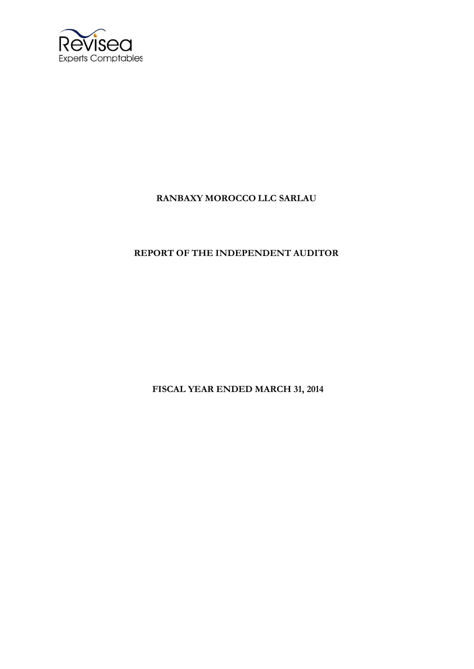

# **RANBAXY MOROCCO LLC SARLAU**

# **REPORT OF THE INDEPENDENT AUDITOR**

**FISCAL YEAR ENDED MARCH 31, 2014**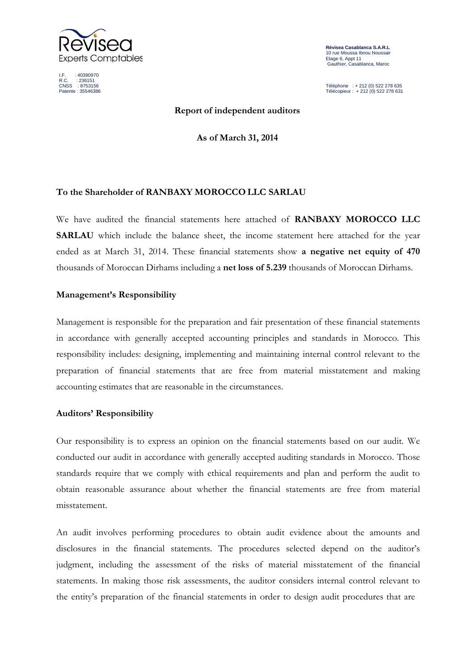

I.F. : 40390970 R.C. : 236151 CNSS : 8753156 Patente : 35546386

**Révisea Casablanca S.A.R.L** 10 rue Moussa Ibnou Noussair Etage 6, Appt 11 Gauthier, Casablanca, Maroc

Téléphone : + 212 (0) 522 278 635 Télécopieur : + 212 (0) 522 278 631

**Report of independent auditors**

**As of March 31, 2014**

#### **To the Shareholder of RANBAXY MOROCCO LLC SARLAU**

We have audited the financial statements here attached of **RANBAXY MOROCCO LLC SARLAU** which include the balance sheet, the income statement here attached for the year ended as at March 31, 2014. These financial statements show **a negative net equity of 470**  thousands of Moroccan Dirhams including a **net loss of 5.239** thousands of Moroccan Dirhams.

#### **Management's Responsibility**

Management is responsible for the preparation and fair presentation of these financial statements in accordance with generally accepted accounting principles and standards in Morocco. This responsibility includes: designing, implementing and maintaining internal control relevant to the preparation of financial statements that are free from material misstatement and making accounting estimates that are reasonable in the circumstances.

#### **Auditors' Responsibility**

Our responsibility is to express an opinion on the financial statements based on our audit. We conducted our audit in accordance with generally accepted auditing standards in Morocco. Those standards require that we comply with ethical requirements and plan and perform the audit to obtain reasonable assurance about whether the financial statements are free from material misstatement.

An audit involves performing procedures to obtain audit evidence about the amounts and disclosures in the financial statements. The procedures selected depend on the auditor's judgment, including the assessment of the risks of material misstatement of the financial statements. In making those risk assessments, the auditor considers internal control relevant to the entity's preparation of the financial statements in order to design audit procedures that are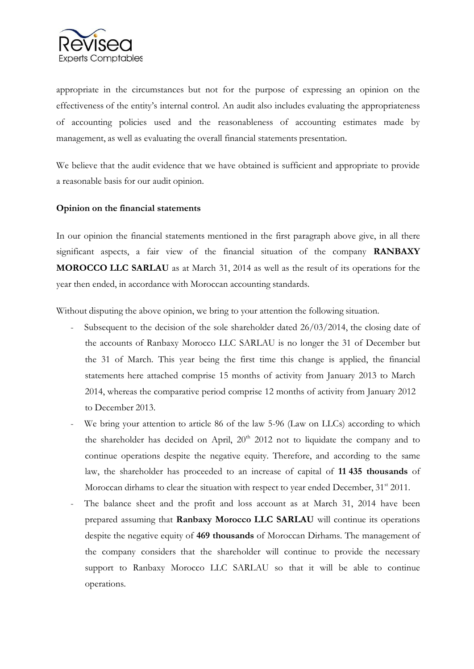

appropriate in the circumstances but not for the purpose of expressing an opinion on the effectiveness of the entity's internal control. An audit also includes evaluating the appropriateness of accounting policies used and the reasonableness of accounting estimates made by management, as well as evaluating the overall financial statements presentation.

We believe that the audit evidence that we have obtained is sufficient and appropriate to provide a reasonable basis for our audit opinion.

#### **Opinion on the financial statements**

In our opinion the financial statements mentioned in the first paragraph above give, in all there significant aspects, a fair view of the financial situation of the company **RANBAXY MOROCCO LLC SARLAU** as at March 31, 2014 as well as the result of its operations for the year then ended, in accordance with Moroccan accounting standards.

Without disputing the above opinion, we bring to your attention the following situation.

- Subsequent to the decision of the sole shareholder dated  $26/03/2014$ , the closing date of the accounts of Ranbaxy Morocco LLC SARLAU is no longer the 31 of December but the 31 of March. This year being the first time this change is applied, the financial statements here attached comprise 15 months of activity from January 2013 to March 2014, whereas the comparative period comprise 12 months of activity from January 2012 to December 2013.
- We bring your attention to article 86 of the law 5-96 (Law on LLCs) according to which the shareholder has decided on April,  $20<sup>th</sup>$  2012 not to liquidate the company and to continue operations despite the negative equity. Therefore, and according to the same law, the shareholder has proceeded to an increase of capital of **11 435 thousands** of Moroccan dirhams to clear the situation with respect to year ended December,  $31<sup>st</sup> 2011$ .
- The balance sheet and the profit and loss account as at March 31, 2014 have been prepared assuming that **Ranbaxy Morocco LLC SARLAU** will continue its operations despite the negative equity of **469 thousands** of Moroccan Dirhams. The management of the company considers that the shareholder will continue to provide the necessary support to Ranbaxy Morocco LLC SARLAU so that it will be able to continue operations.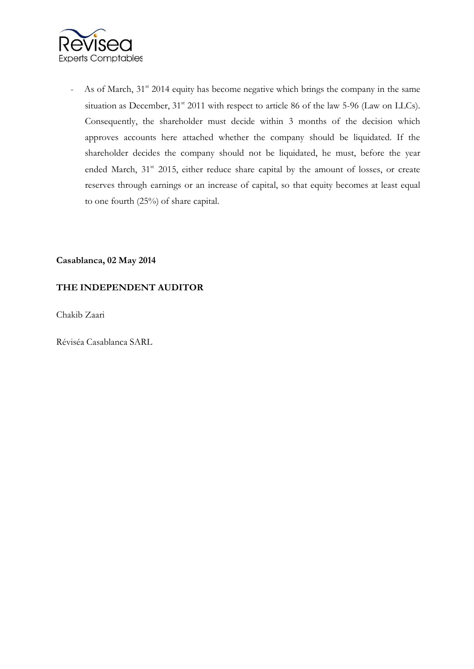

- As of March,  $31<sup>st</sup>$  2014 equity has become negative which brings the company in the same situation as December,  $31^{st}$  2011 with respect to article 86 of the law 5-96 (Law on LLCs). Consequently, the shareholder must decide within 3 months of the decision which approves accounts here attached whether the company should be liquidated. If the shareholder decides the company should not be liquidated, he must, before the year ended March,  $31<sup>st</sup>$  2015, either reduce share capital by the amount of losses, or create reserves through earnings or an increase of capital, so that equity becomes at least equal to one fourth (25%) of share capital.

#### **Casablanca, 02 May 2014**

## **THE INDEPENDENT AUDITOR**

Chakib Zaari

Réviséa Casablanca SARL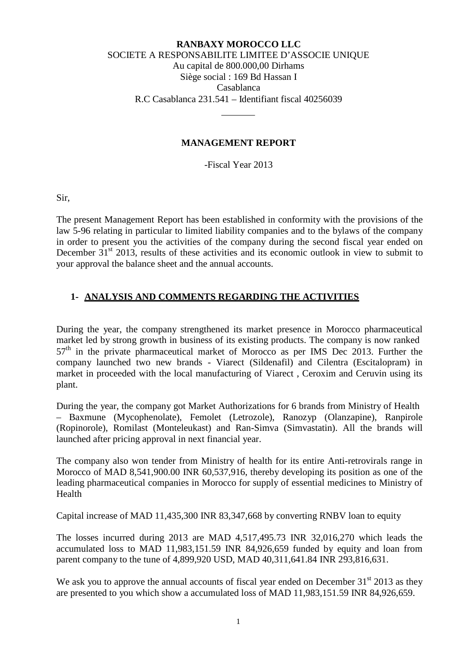#### **RANBAXY MOROCCO LLC** SOCIETE A RESPONSABILITE LIMITEE D'ASSOCIE UNIQUE Au capital de 800.000,00 Dirhams Siège social : 169 Bd Hassan I Casablanca R.C Casablanca 231.541 – Identifiant fiscal 40256039

#### **MANAGEMENT REPORT**

-Fiscal Year 2013

Sir,

The present Management Report has been established in conformity with the provisions of the law 5-96 relating in particular to limited liability companies and to the bylaws of the company in order to present you the activities of the company during the second fiscal year ended on December  $31<sup>st</sup>$  2013, results of these activities and its economic outlook in view to submit to your approval the balance sheet and the annual accounts.

## **1- ANALYSIS AND COMMENTS REGARDING THE ACTIVITIES**

During the year, the company strengthened its market presence in Morocco pharmaceutical market led by strong growth in business of its existing products. The company is now ranked  $57<sup>th</sup>$  in the private pharmaceutical market of Morocco as per IMS Dec 2013. Further the company launched two new brands - Viarect (Sildenafil) and Cilentra (Escitalopram) in market in proceeded with the local manufacturing of Viarect , Ceroxim and Ceruvin using its plant.

During the year, the company got Market Authorizations for 6 brands from Ministry of Health – Baxmune (Mycophenolate), Femolet (Letrozole), Ranozyp (Olanzapine), Ranpirole (Ropinorole), Romilast (Monteleukast) and Ran-Simva (Simvastatin). All the brands will launched after pricing approval in next financial year.

The company also won tender from Ministry of health for its entire Anti-retrovirals range in Morocco of MAD 8,541,900.00 INR 60,537,916, thereby developing its position as one of the leading pharmaceutical companies in Morocco for supply of essential medicines to Ministry of Health

Capital increase of MAD 11,435,300 INR 83,347,668 by converting RNBV loan to equity

The losses incurred during 2013 are MAD 4,517,495.73 INR 32,016,270 which leads the accumulated loss to MAD 11,983,151.59 INR 84,926,659 funded by equity and loan from parent company to the tune of 4,899,920 USD, MAD 40,311,641.84 INR 293,816,631.

We ask you to approve the annual accounts of fiscal year ended on December  $31<sup>st</sup> 2013$  as they are presented to you which show a accumulated loss of MAD 11,983,151.59 INR 84,926,659.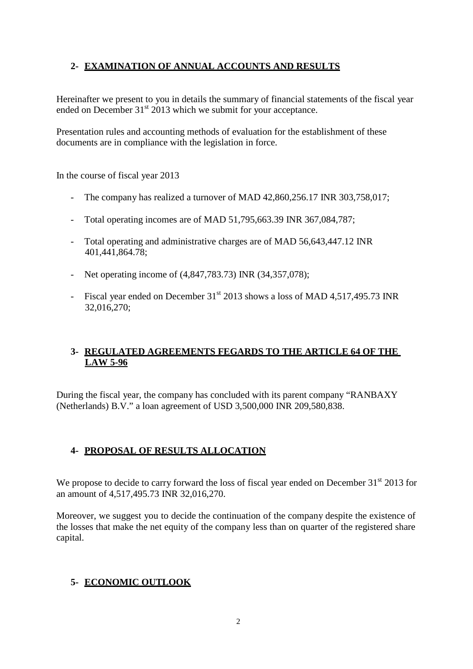## **2- EXAMINATION OF ANNUAL ACCOUNTS AND RESULTS**

Hereinafter we present to you in details the summary of financial statements of the fiscal year ended on December  $31<sup>st</sup>$  2013 which we submit for your acceptance.

Presentation rules and accounting methods of evaluation for the establishment of these documents are in compliance with the legislation in force.

In the course of fiscal year 2013

- The company has realized a turnover of MAD 42,860,256.17 INR 303,758,017;
- Total operating incomes are of MAD 51,795,663.39 INR 367,084,787;
- Total operating and administrative charges are of MAD 56,643,447.12 INR 401,441,864.78;
- Net operating income of (4,847,783.73) INR (34,357,078);
- Fiscal year ended on December  $31<sup>st</sup> 2013$  shows a loss of MAD 4,517,495.73 INR 32,016,270;

## **3- REGULATED AGREEMENTS FEGARDS TO THE ARTICLE 64 OF THE LAW 5-96**

During the fiscal year, the company has concluded with its parent company "RANBAXY (Netherlands) B.V." a loan agreement of USD 3,500,000 INR 209,580,838.

## **4- PROPOSAL OF RESULTS ALLOCATION**

We propose to decide to carry forward the loss of fiscal year ended on December  $31<sup>st</sup>$  2013 for an amount of 4,517,495.73 INR 32,016,270.

Moreover, we suggest you to decide the continuation of the company despite the existence of the losses that make the net equity of the company less than on quarter of the registered share capital.

## **5- ECONOMIC OUTLOOK**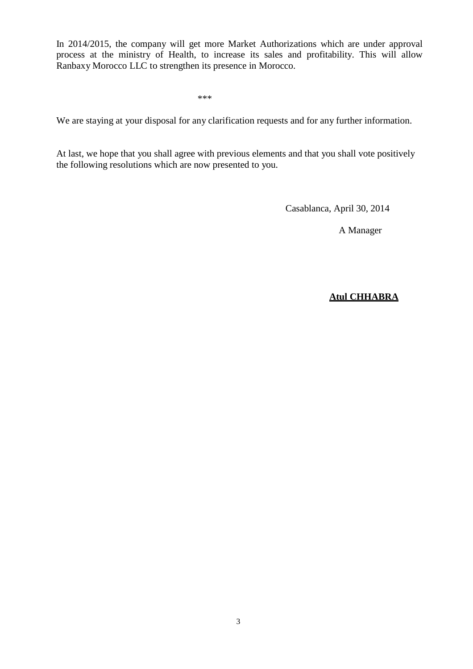In 2014/2015, the company will get more Market Authorizations which are under approval process at the ministry of Health, to increase its sales and profitability. This will allow Ranbaxy Morocco LLC to strengthen its presence in Morocco.

\*\*\*

We are staying at your disposal for any clarification requests and for any further information.

At last, we hope that you shall agree with previous elements and that you shall vote positively the following resolutions which are now presented to you.

Casablanca, April 30, 2014

A Manager

#### **Atul CHHABRA**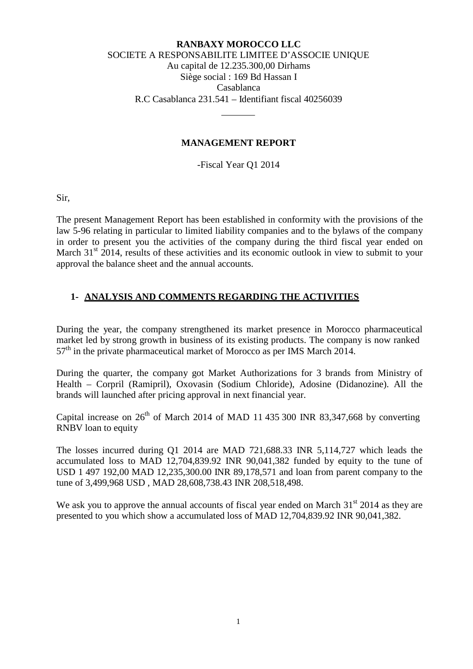#### **RANBAXY MOROCCO LLC** SOCIETE A RESPONSABILITE LIMITEE D'ASSOCIE UNIQUE Au capital de 12.235.300,00 Dirhams Siège social : 169 Bd Hassan I Casablanca R.C Casablanca 231.541 – Identifiant fiscal 40256039

#### **MANAGEMENT REPORT**

-Fiscal Year Q1 2014

Sir,

The present Management Report has been established in conformity with the provisions of the law 5-96 relating in particular to limited liability companies and to the bylaws of the company in order to present you the activities of the company during the third fiscal year ended on March  $31<sup>st</sup>$  2014, results of these activities and its economic outlook in view to submit to your approval the balance sheet and the annual accounts.

## **1- ANALYSIS AND COMMENTS REGARDING THE ACTIVITIES**

During the year, the company strengthened its market presence in Morocco pharmaceutical market led by strong growth in business of its existing products. The company is now ranked  $57<sup>th</sup>$  in the private pharmaceutical market of Morocco as per IMS March 2014.

During the quarter, the company got Market Authorizations for 3 brands from Ministry of Health – Corpril (Ramipril), Oxovasin (Sodium Chloride), Adosine (Didanozine). All the brands will launched after pricing approval in next financial year.

Capital increase on  $26<sup>th</sup>$  of March 2014 of MAD 11 435 300 INR 83,347,668 by converting RNBV loan to equity

The losses incurred during Q1 2014 are MAD 721,688.33 INR 5,114,727 which leads the accumulated loss to MAD 12,704,839.92 INR 90,041,382 funded by equity to the tune of USD 1 497 192,00 MAD 12,235,300.00 INR 89,178,571 and loan from parent company to the tune of 3,499,968 USD , MAD 28,608,738.43 INR 208,518,498.

We ask you to approve the annual accounts of fiscal year ended on March  $31<sup>st</sup> 2014$  as they are presented to you which show a accumulated loss of MAD 12,704,839.92 INR 90,041,382.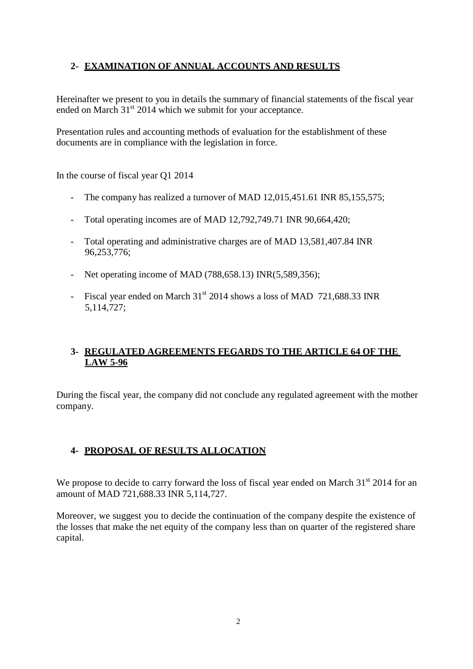## **2- EXAMINATION OF ANNUAL ACCOUNTS AND RESULTS**

Hereinafter we present to you in details the summary of financial statements of the fiscal year ended on March  $31<sup>st</sup>$  2014 which we submit for your acceptance.

Presentation rules and accounting methods of evaluation for the establishment of these documents are in compliance with the legislation in force.

In the course of fiscal year Q1 2014

- The company has realized a turnover of MAD 12,015,451.61 INR 85,155,575;
- Total operating incomes are of MAD 12,792,749.71 INR 90,664,420;
- Total operating and administrative charges are of MAD 13,581,407.84 INR 96,253,776;
- Net operating income of MAD (788,658.13) INR(5,589,356);
- Fiscal year ended on March 31<sup>st</sup> 2014 shows a loss of MAD 721,688.33 INR 5,114,727;

## **3- REGULATED AGREEMENTS FEGARDS TO THE ARTICLE 64 OF THE LAW 5-96**

During the fiscal year, the company did not conclude any regulated agreement with the mother company.

## **4- PROPOSAL OF RESULTS ALLOCATION**

We propose to decide to carry forward the loss of fiscal year ended on March  $31<sup>st</sup>$  2014 for an amount of MAD 721,688.33 INR 5,114,727.

Moreover, we suggest you to decide the continuation of the company despite the existence of the losses that make the net equity of the company less than on quarter of the registered share capital.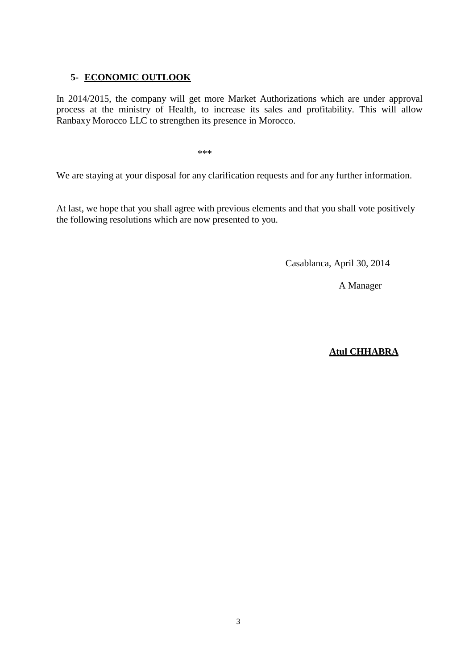# **5- ECONOMIC OUTLOOK**

In 2014/2015, the company will get more Market Authorizations which are under approval process at the ministry of Health, to increase its sales and profitability. This will allow Ranbaxy Morocco LLC to strengthen its presence in Morocco.

\*\*\*

We are staying at your disposal for any clarification requests and for any further information.

At last, we hope that you shall agree with previous elements and that you shall vote positively the following resolutions which are now presented to you.

Casablanca, April 30, 2014

A Manager

# **Atul CHHABRA**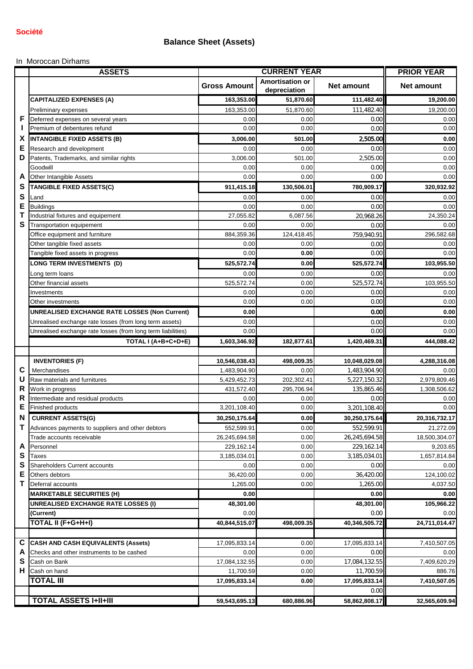# **Balance Sheet (Assets)**

#### In Moroccan Dirhams

|              | <b>CURRENT YEAR</b><br><b>ASSETS</b>                         |                     |                                        |                       | <b>PRIOR YEAR</b>    |  |
|--------------|--------------------------------------------------------------|---------------------|----------------------------------------|-----------------------|----------------------|--|
|              |                                                              | <b>Gross Amount</b> | <b>Amortisation or</b><br>depreciation | <b>Net amount</b>     | <b>Net amount</b>    |  |
|              | <b>CAPITALIZED EXPENSES (A)</b>                              | 163,353.00          | 51,870.60                              | 111,482.40            | 19,200.00            |  |
|              | Preliminary expenses                                         | 163,353.00          | 51,870.60                              | 111,482.40            | 19,200.00            |  |
| F            | Deferred expenses on several years                           | 0.00                | 0.00                                   | 0.00                  | 0.00                 |  |
| ı            | Premium of debentures refund                                 | 0.00                | 0.00                                   | 0.00                  | 0.00                 |  |
| х            | <b>INTANGIBLE FIXED ASSETS (B)</b>                           | 3,006.00            | 501.00                                 | 2,505.00              | 0.00                 |  |
| Е            | Research and development                                     | 0.00                | 0.00                                   | 0.00                  | 0.00                 |  |
| D            | Patents, Trademarks, and similar rights                      | 3,006.00            | 501.00                                 | 2,505.00              | 0.00                 |  |
|              | Goodwill                                                     | 0.00                | 0.00                                   | 0.00                  | 0.00                 |  |
| A            | Other Intangible Assets                                      | 0.00                | 0.00                                   | 0.00                  | 0.00                 |  |
| S            | <b>TANGIBLE FIXED ASSETS(C)</b>                              | 911,415.18          | 130,506.01                             | 780,909.17            | 320,932.92           |  |
| S            | Land                                                         | 0.00                | 0.00                                   | 0.00                  | 0.00                 |  |
| E            | <b>Buildings</b>                                             | 0.00                | 0.00                                   | 0.00                  | 0.00                 |  |
| T            | Industrial fixtures and equipement                           | 27,055.82           | 6,087.56                               | 20,968.26             | 24,350.24            |  |
| $\mathbf{s}$ | Transportation equipement                                    | 0.00                | 0.00                                   | 0.00                  | 0.00                 |  |
|              | Office equipment and furniture                               | 884,359.36          | 124,418.45                             | 759,940.91            | 296,582.68           |  |
|              | Other tangible fixed assets                                  | 0.00                | 0.00                                   | 0.00                  | 0.00                 |  |
|              | Tangible fixed assets in progress                            | 0.00                | 0.00                                   | 0.00                  | 0.00                 |  |
|              | LONG TERM INVESTMENTS (D)                                    | 525,572.74          | 0.00                                   | 525,572.74            | 103,955.50           |  |
|              | Long term loans                                              | 0.00                | 0.00                                   | 0.00                  | 0.00                 |  |
|              | Other financial assets                                       | 525,572.74          | 0.00                                   | 525,572.74            | 103,955.50           |  |
|              | Investments                                                  | 0.00                | 0.00                                   | 0.00                  | 0.00                 |  |
|              | Other investments                                            | 0.00                | 0.00                                   | 0.00                  | 0.00                 |  |
|              | <b>UNREALISED EXCHANGE RATE LOSSES (Non Current)</b>         | 0.00                |                                        | 0.00                  | 0.00                 |  |
|              | Unrealised exchange rate losses (from long term assets)      | 0.00                |                                        | 0.00                  | 0.00                 |  |
|              | Unrealised exchange rate losses (from long term liabilities) | 0.00                |                                        | 0.00                  | 0.00                 |  |
|              | TOTAL I (A+B+C+D+E)                                          | 1,603,346.92        | 182,877.61                             | 1,420,469.31          | 444,088.42           |  |
|              |                                                              |                     |                                        |                       |                      |  |
|              | <b>INVENTORIES (F)</b>                                       | 10,546,038.43       | 498,009.35                             | 10,048,029.08         | 4,288,316.08         |  |
| C            | Merchandises                                                 | 1,483,904.90        | 0.00                                   | 1,483,904.90          | 0.00                 |  |
| U            | Raw materials and furnitures                                 | 5,429,452.73        | 202,302.41                             | 5,227,150.32          | 2,979,809.46         |  |
| R            | Work in progress                                             | 431,572.40          | 295,706.94                             | 135,865.46            | 1,308,506.62         |  |
| R            | Intermediate and residual products                           | 0.00                | 0.00                                   | 0.00                  | 0.00                 |  |
| Е            | Finished products                                            | 3,201,108.40        | 0.00                                   | 3,201,108.40          | 0.00                 |  |
| N            | <b>CURRENT ASSETS(G)</b>                                     | 30,250,175.64       | 0.00                                   | 30,250,175.64         | 20,316,732.17        |  |
| T.           | Advances payments to suppliers and other debtors             | 552,599.91          | 0.00                                   | 552,599.91            | 21,272.09            |  |
|              | Trade accounts receivable                                    | 26,245,694.58       | 0.00                                   | 26,245,694.58         | 18,500,304.07        |  |
| A            | Personnel                                                    | 229,162.14          | 0.00                                   | 229,162.14            | 9,203.65             |  |
| ${\bf S}$    | <b>Taxes</b>                                                 | 3,185,034.01        | 0.00                                   | 3,185,034.01          | 1,657,814.84         |  |
| S            | Shareholders Current accounts                                | 0.00                | 0.00                                   | 0.00                  | 0.00                 |  |
| Е            | Others debtors                                               | 36,420.00           | 0.00                                   | 36,420.00             | 124,100.02           |  |
| т            | Deferral accounts                                            | 1,265.00            | 0.00                                   | 1,265.00              | 4,037.50             |  |
|              | <b>MARKETABLE SECURITIES (H)</b>                             | 0.00                |                                        | 0.00                  | 0.00                 |  |
|              | <b>UNREALISED EXCHANGE RATE LOSSES (I)</b>                   | 48,301.00           |                                        | 48,301.00             | 105,966.22           |  |
|              | (Current)                                                    | 0.00                |                                        | 0.00                  | 0.00                 |  |
|              | TOTAL II (F+G+H+I)                                           | 40,844,515.07       | 498,009.35                             | 40,346,505.72         | 24,711,014.47        |  |
|              |                                                              |                     |                                        |                       |                      |  |
|              | C CASH AND CASH EQUIVALENTS (Assets)                         | 17,095,833.14       | 0.00                                   |                       |                      |  |
| A            | Checks and other instruments to be cashed                    | 0.00                | 0.00                                   | 17,095,833.14<br>0.00 | 7,410,507.05<br>0.00 |  |
| S            | Cash on Bank                                                 | 17,084,132.55       | 0.00                                   | 17,084,132.55         | 7,409,620.29         |  |
| H.           |                                                              | 11,700.59           | 0.00                                   |                       | 886.76               |  |
|              | Cash on hand<br><b>TOTAL III</b>                             |                     |                                        | 11,700.59             |                      |  |
|              |                                                              | 17,095,833.14       | 0.00                                   | 17,095,833.14         | 7,410,507.05         |  |
|              |                                                              |                     |                                        | 0.00                  |                      |  |
|              | <b>TOTAL ASSETS I+II+III</b>                                 | 59,543,695.13       | 680,886.96                             | 58,862,808.17         | 32,565,609.94        |  |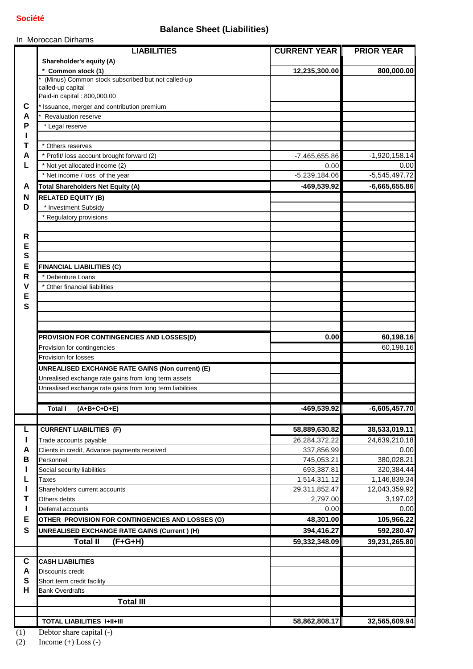#### **Société**

In Moroccan Dirhams

|        | <b>LIABILITIES</b>                                                     | <b>CURRENT YEAR</b> | <b>PRIOR YEAR</b> |
|--------|------------------------------------------------------------------------|---------------------|-------------------|
|        | Shareholder's equity (A)                                               |                     |                   |
|        | * Common stock (1)                                                     | 12,235,300.00       | 800,000.00        |
|        | (Minus) Common stock subscribed but not called-up<br>called-up capital |                     |                   |
|        | Paid-in capital: 800,000.00                                            |                     |                   |
| С      | Issuance, merger and contribution premium                              |                     |                   |
| А      | <b>Revaluation reserve</b>                                             |                     |                   |
| Р      | * Legal reserve                                                        |                     |                   |
|        |                                                                        |                     |                   |
| Τ      | * Others reserves                                                      |                     |                   |
| А      | * Profit/ loss account brought forward (2)                             | $-7,465,655.86$     | $-1,920,158.14$   |
|        | * Not yet allocated income (2)                                         | 0.00                | 0.00              |
|        | * Net income / loss of the year                                        | $-5,239,184.06$     | $-5,545,497.72$   |
| А      | <b>Total Shareholders Net Equity (A)</b>                               | -469,539.92         | $-6,665,655.86$   |
| N      | <b>RELATED EQUITY (B)</b>                                              |                     |                   |
| D      | * Investment Subsidy                                                   |                     |                   |
|        | * Regulatory provisions                                                |                     |                   |
|        |                                                                        |                     |                   |
| R<br>E |                                                                        |                     |                   |
| S      |                                                                        |                     |                   |
| E      | <b>FINANCIAL LIABILITIES (C)</b>                                       |                     |                   |
| R      | * Debenture Loans                                                      |                     |                   |
| v      | * Other financial liabilities                                          |                     |                   |
| Е      |                                                                        |                     |                   |
| S      |                                                                        |                     |                   |
|        |                                                                        |                     |                   |
|        |                                                                        |                     |                   |
|        | PROVISION FOR CONTINGENCIES AND LOSSES(D)                              | 0.00                | 60,198.16         |
|        | Provision for contingencies                                            |                     | 60,198.16         |
|        | Provision for losses                                                   |                     |                   |
|        | UNREALISED EXCHANGE RATE GAINS (Non current) (E)                       |                     |                   |
|        | Unrealised exchange rate gains from long term assets                   |                     |                   |
|        | Unrealised exchange rate gains from long term liabilities              |                     |                   |
|        |                                                                        |                     |                   |
|        | <b>Total I</b><br>$(A+B+C+D+E)$                                        | $-469,539.92$       | $-6,605,457.70$   |
|        |                                                                        |                     |                   |
| L      | <b>CURRENT LIABILITIES (F)</b>                                         | 58,889,630.82       | 38,533,019.11     |
| н      | Trade accounts payable                                                 | 26,284,372.22       | 24,639,210.18     |
| A      | Clients in credit, Advance payments received                           | 337,856.99          | 0.00              |
| в      | Personnel                                                              | 745,053.21          | 380,028.21        |
|        | Social security liabilities                                            | 693,387.81          | 320,384.44        |
|        | Taxes                                                                  | 1,514,311.12        | 1,146,839.34      |
|        | Shareholders current accounts                                          | 29,311,852.47       | 12,043,359.92     |
| Τ      | Others debts                                                           | 2,797.00            | 3,197.02          |
| L      | Deferral accounts                                                      | 0.00                | 0.00              |
| Е      | OTHER PROVISION FOR CONTINGENCIES AND LOSSES (G)                       | 48,301.00           | 105,966.22        |
| S      | UNREALISED EXCHANGE RATE GAINS (Current) (H)                           | 394,416.27          | 592,280.47        |
|        | <b>Total II</b><br>(F+G+H)                                             | 59,332,348.09       | 39,231,265.80     |
|        |                                                                        |                     |                   |
| C      | <b>CASH LIABILITIES</b>                                                |                     |                   |
| A      | Discounts credit                                                       |                     |                   |
| S      | Short term credit facility                                             |                     |                   |
| н      | <b>Bank Overdrafts</b>                                                 |                     |                   |
|        | <b>Total III</b>                                                       |                     |                   |
|        |                                                                        |                     |                   |
|        | <b>TOTAL LIABILITIES I+II+III</b>                                      | 58,862,808.17       | 32,565,609.94     |

(1) Debtor share capital (-)

(2) Income  $(+)$  Loss  $(-)$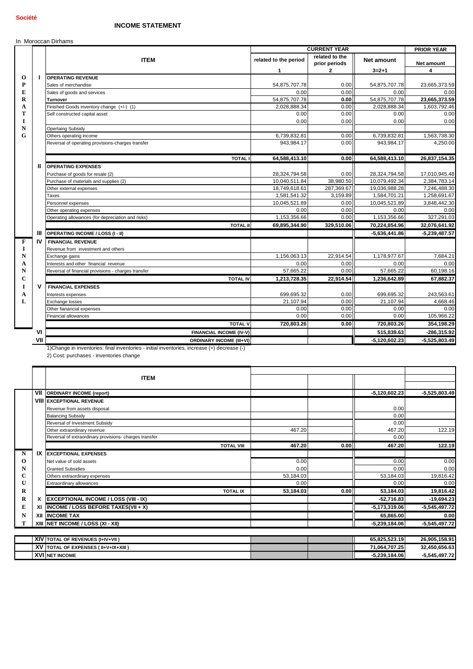#### **Société**

#### **INCOME STATEMENT**

In Moroccan Dirhams

|             |     | <b>ITEM</b>                                                                                       | <b>CURRENT YEAR</b>   |                |                   | <b>PRIOR YEAR</b> |
|-------------|-----|---------------------------------------------------------------------------------------------------|-----------------------|----------------|-------------------|-------------------|
|             |     |                                                                                                   | related to the period | related to the | <b>Net amount</b> |                   |
|             |     |                                                                                                   |                       | prior periods  |                   | Net amount        |
|             |     |                                                                                                   | $\mathbf{1}$          | $\mathbf{2}$   | $3 = 2 + 1$       | 4                 |
| $\bf{O}$    | I.  | <b>OPERATING REVENUE</b>                                                                          |                       |                |                   |                   |
| P           |     | Sales of merchandise                                                                              | 54,875,707.78         | 0.00           | 54,875,707.78     | 23,665,373.59     |
| E           |     | Sales of goods and services                                                                       | 0.00                  | 0.00           | 0.00              | 0.00              |
| R           |     | <b>Turnover</b>                                                                                   | 54,875,707.78         | 0.00           | 54,875,707.78     | 23,665,373.59     |
| A           |     | Finished Goods inventory change (+/-) (1)                                                         | 2,028,888.34          | 0.00           | 2,028,888.34      | 1,603,792.46      |
| т           |     | Self constructed capital asset                                                                    | 0.00                  | 0.00           | 0.00              | 0.00              |
| I           |     |                                                                                                   | 0.00                  | 0.00           | 0.00              | 0.00              |
| N           |     | <b>Opertaing Subsidy</b>                                                                          |                       |                |                   |                   |
| G           |     | Others operating income                                                                           | 6,739,832.81          | 0.00           | 6,739,832.81      | 1,563,738.30      |
|             |     | Reversal of operating provisions-charges transfer                                                 | 943,984.17            | 0.00           | 943,984.17        | 4,250.00          |
|             |     | <b>TOTAL I</b>                                                                                    | 64,588,413.10         | 0.00           | 64,588,413.10     | 26,837,154.35     |
|             | Ш   | <b>OPERATING EXPENSES</b>                                                                         |                       |                |                   |                   |
|             |     | Purchase of goods for resale (2)                                                                  | 28,324,794.58         | 0.00           | 28,324,794.58     | 17,010,945.48     |
|             |     | Purchase of materials and supplies (2)                                                            | 10,040,511.84         | 38.980.50      | 10,079,492.34     | 2,384,783.14      |
|             |     | Other external expenses                                                                           | 18,749,618.61         | 287,369.67     | 19,036,988.28     | 7,246,488.30      |
|             |     | Taxes                                                                                             | 1,581,541.32          | 3,159.89       | 1,584,701.21      | 1,258,691.67      |
|             |     | Personnel expenses                                                                                | 10,045,521.89         | 0.00           | 10,045,521.89     | 3,848,442.30      |
|             |     | Other operating expenses                                                                          | 0.00                  | 0.00           | 0.00              | 0.00              |
|             |     | Operating allowances (for depreciation and risks)                                                 | 1,153,356.66          | 0.00           | 1,153,356.66      | 327,291.03        |
|             |     | <b>TOTAL II</b>                                                                                   | 69,895,344.90         | 329,510.06     | 70,224,854.96     | 32,076,641.92     |
|             | Ш   | <b>OPERATING INCOME / LOSS (I - II)</b>                                                           |                       |                | $-5,636,441.86$   | $-5,239,487.57$   |
| F           | IV  | <b>FINANCIAL REVENUE</b>                                                                          |                       |                |                   |                   |
| 1           |     | Revenue from investment and others                                                                |                       |                |                   |                   |
| N           |     | Exchange gains                                                                                    | 1,156,063.13          | 22,914.54      | 1,178,977.67      | 7,684.21          |
| A           |     | Interests and other financial revenue                                                             | 0.00                  | 0.00           | 0.00              | 0.00              |
| N           |     | Reversal of financial provisions - charges transfer                                               | 57,665.22             | 0.00           | 57,665.22         | 60,198.16         |
| $\mathbf C$ |     | <b>TOTAL IV</b>                                                                                   | 1,213,728.35          | 22.914.54      | 1.236.642.89      | 67.882.37         |
| 1           | v   | <b>FINANCIAL EXPENSES</b>                                                                         |                       |                |                   |                   |
| A           |     | Interests expenses                                                                                | 699.695.32            | 0.00           | 699,695.32        | 243,563.61        |
| L           |     | Exchange losses                                                                                   | 21,107.94             | 0.00           | 21,107.94         | 4,668.46          |
|             |     | Other fianancial expenses                                                                         | 0.00                  | 0.00           | 0.00              | 0.00              |
|             |     | Financial allowances                                                                              | 0.00                  | 0.00           | 0.00              | 105,966.22        |
|             |     | <b>TOTAL V</b>                                                                                    | 720,803.26            | 0.00           | 720,803.26        | 354,198.29        |
|             | VI  | <b>FINANCIAL INCOME (IV-V)</b>                                                                    |                       |                | 515,839.63        | -286,315.92       |
|             | VII | <b>ORDINARY INCOME (III+VI)</b>                                                                   |                       |                | $-5.120.602.23$   | $-5.525.803.49$   |
|             |     | $1)$ Change in inventories: final inventories - initial inventories increase $(1)$ decrease $(2)$ |                       |                |                   |                   |

1)Change in inventories: final inventories - initial inventories, increase (+) decrease (-)

2) Cost: purchases - inventories change

|             |              | <b>ITEM</b>                                            |           |      |                 |                 |
|-------------|--------------|--------------------------------------------------------|-----------|------|-----------------|-----------------|
|             | VII          | <b>ORDINARY INCOME (report)</b>                        |           |      | $-5,120,602.23$ | $-5,525,803.49$ |
|             |              | <b>VIII EXCEPTIONAL REVENUE</b>                        |           |      |                 |                 |
|             |              | Revenue from assets disposal                           |           |      | 0.00            |                 |
|             |              | <b>Balancing Subsidy</b>                               |           |      | 0.00            |                 |
|             |              | Reversal of Investment Subsidy                         |           |      | 0.00            |                 |
|             |              | Other extraordinary revenue                            | 467.20    |      | 467.20          | 122.19          |
|             |              | Reversal of extraordinary provisions- charges transfer |           |      | 0.00            |                 |
|             |              | <b>TOTAL VIII</b>                                      | 467.20    | 0.00 | 467.20          | 122.19          |
| N           | IX           | <b>EXCEPTIONAL EXPENSES</b>                            |           |      |                 |                 |
| $\bf{0}$    |              | Net value of sold assets                               | 0.00      |      | 0.00            | 0.00            |
| N           |              | <b>Granted Subsidies</b>                               | 0.00      |      | 0.00            | 0.00            |
| $\mathbf C$ |              | Others extraordinary expenses                          | 53,184.03 |      | 53,184.03       | 19,816.42       |
| U           |              | Extraordinary allowances                               | 0.00      |      | 0.00            | 0.00            |
| $\bf{R}$    |              | <b>TOTAL IX</b>                                        | 53,184.03 | 0.00 | 53,184.03       | 19,816.42       |
| R           | $\mathsf{x}$ | <b>EXCEPTIONAL INCOME / LOSS (VIII - IX)</b>           |           |      | $-52,716.83$    | $-19,694.23$    |
| E           | XI           | <b>INCOME / LOSS BEFORE TAXES(VII + X)</b>             |           |      | $-5,173,319.06$ | $-5,545,497.72$ |
| N           | XII          | <b>INCOME TAX</b>                                      |           |      | 65,865.00       | 0.00            |
| T           |              | XIII NET INCOME / LOSS (XI - XII)                      |           |      | $-5,239,184.06$ | $-5,545,497.72$ |
|             |              |                                                        |           |      |                 |                 |
|             |              | XIV TOTAL OF REVENUES (I+IV+VII)                       |           |      | 65,825,523.19   | 26,905,158.91   |
|             |              | XV TOTAL OF EXPENSES ( II+V+IX+XIII )                  |           |      | 71,064,707.25   | 32,450,656.63   |
|             |              | <b>XVI NET INCOME</b>                                  |           |      | $-5,239,184.06$ | $-5,545,497.72$ |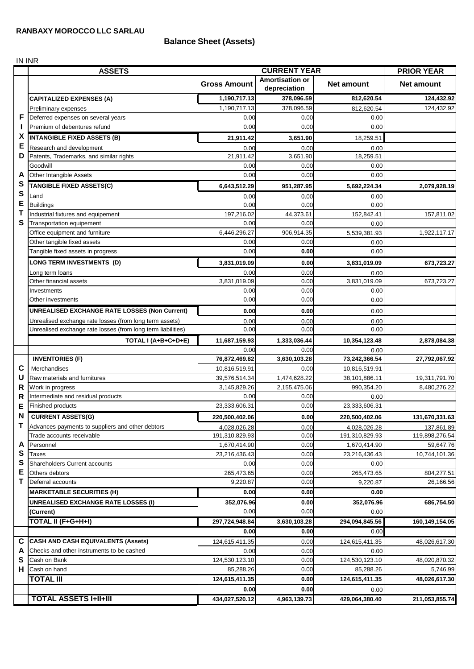# **Balance Sheet (Assets)**

IN INR

|    | <b>ASSETS</b>                                                                          | <b>CURRENT YEAR</b>            |                                 |                                | <b>PRIOR YEAR</b>            |  |
|----|----------------------------------------------------------------------------------------|--------------------------------|---------------------------------|--------------------------------|------------------------------|--|
|    |                                                                                        | <b>Gross Amount</b>            | Amortisation or<br>depreciation | <b>Net amount</b>              | <b>Net amount</b>            |  |
|    | <b>CAPITALIZED EXPENSES (A)</b>                                                        | 1,190,717.13                   | 378,096.59                      | 812,620.54                     | 124,432.92                   |  |
|    | Preliminary expenses                                                                   | 1,190,717.13                   | 378,096.59                      | 812,620.54                     | 124,432.92                   |  |
| F  | Deferred expenses on several years                                                     | 0.00                           | 0.00                            | 0.00                           |                              |  |
| J. | Premium of debentures refund                                                           | 0.00                           | 0.00                            | 0.00                           |                              |  |
| X  | <b>INTANGIBLE FIXED ASSETS (B)</b>                                                     | 21,911.42                      | 3,651.90                        | 18,259.51                      |                              |  |
| Е  | Research and development                                                               | 0.00                           | 0.00                            | 0.00                           |                              |  |
| D  | Patents, Trademarks, and similar rights                                                | 21,911.42                      | 3,651.90                        | 18,259.51                      |                              |  |
|    | Goodwill                                                                               | 0.00                           | 0.00                            | 0.00                           |                              |  |
| A  | Other Intangible Assets                                                                | 0.00                           | 0.00                            | 0.00                           |                              |  |
| S  | <b>TANGIBLE FIXED ASSETS(C)</b>                                                        | 6,643,512.29                   | 951,287.95                      | 5,692,224.34                   | 2,079,928.19                 |  |
| S  | Land                                                                                   | 0.00                           | 0.00                            | 0.00                           |                              |  |
| E  | <b>Buildings</b>                                                                       | 0.00                           | 0.00                            | 0.00                           |                              |  |
| Т  | Industrial fixtures and equipement                                                     | 197,216.02                     | 44,373.61                       | 152,842.41                     | 157,811.02                   |  |
| S  | Transportation equipement                                                              | 0.00                           | 0.00                            | 0.00                           |                              |  |
|    | Office equipment and furniture                                                         | 6,446,296.27                   | 906,914.35                      | 5,539,381.93                   | 1,922,117.17                 |  |
|    | Other tangible fixed assets                                                            | 0.00                           | 0.00                            | 0.00                           |                              |  |
|    | Tangible fixed assets in progress                                                      | 0.00                           | 0.00                            | 0.00                           |                              |  |
|    | LONG TERM INVESTMENTS (D)                                                              | 3,831,019.09                   | 0.00                            | 3,831,019.09                   | 673,723.27                   |  |
|    | ong term loans                                                                         | 0.00                           | 0.00                            | 0.00                           |                              |  |
|    | Other financial assets                                                                 | 3,831,019.09                   | 0.00                            | 3,831,019.09                   | 673,723.27                   |  |
|    | Investments                                                                            | 0.00                           | 0.00                            | 0.00                           |                              |  |
|    | Other investments                                                                      | 0.00                           | 0.00                            | 0.00                           |                              |  |
|    | <b>UNREALISED EXCHANGE RATE LOSSES (Non Current)</b>                                   | 0.00                           | 0.00                            | 0.00                           |                              |  |
|    | Unrealised exchange rate losses (from long term assets)                                | 0.00                           | 0.00                            | 0.00                           |                              |  |
|    | Unrealised exchange rate losses (from long term liabilities)                           | 0.00                           | 0.00                            | 0.00                           |                              |  |
|    | TOTAL I (A+B+C+D+E)                                                                    |                                |                                 |                                |                              |  |
|    |                                                                                        |                                |                                 |                                |                              |  |
|    |                                                                                        | 11,687,159.93<br>0.00          | 1,333,036.44<br>0.00            | 10,354,123.48<br>0.00          | 2,878,084.38                 |  |
|    | <b>INVENTORIES (F)</b>                                                                 | 76,872,469.82                  | 3,630,103.28                    | 73,242,366.54                  | 27,792,067.92                |  |
| С  | Merchandises                                                                           | 10,816,519.91                  | 0.00                            | 10,816,519.91                  |                              |  |
| U  | Raw materials and furnitures                                                           | 39,576,514.34                  | 1,474,628.22                    | 38,101,886.11                  | 19,311,791.70                |  |
| R  | Work in progress                                                                       | 3,145,829.26                   | 2,155,475.06                    | 990.354.20                     | 8,480,276.22                 |  |
| R  | Intermediate and residual products                                                     | 0.00                           | 0.00                            | 0.00                           |                              |  |
| Е  | <b>Finished products</b>                                                               | 23,333,606.31                  | 0.00                            | 23,333,606.31                  |                              |  |
| N  | <b>CURRENT ASSETS(G)</b>                                                               | 220.500.402.06                 | 0.00                            | 220,500,402.06                 | 131.670.331.63               |  |
| т  |                                                                                        |                                |                                 |                                |                              |  |
|    | Advances payments to suppliers and other debtors<br>Trade accounts receivable          | 4,028,026.28<br>191,310,829.93 | 0.00<br>0.00                    | 4,028,026.28<br>191,310,829.93 | 137,861.89<br>119,898,276.54 |  |
| A  | Personnel                                                                              | 1,670,414.90                   | 0.00                            | 1,670,414.90                   | 59,647.76                    |  |
| S  | <b>Taxes</b>                                                                           | 23,216,436.43                  | 0.00                            | 23,216,436.43                  | 10,744,101.36                |  |
| S  | Shareholders Current accounts                                                          | 0.00                           | 0.00                            | 0.00                           |                              |  |
| Е  | Others debtors                                                                         | 265,473.65                     | 0.00                            | 265,473.65                     | 804,277.51                   |  |
| Т  | Deferral accounts                                                                      | 9,220.87                       | 0.00                            | 9,220.87                       | 26,166.56                    |  |
|    | <b>MARKETABLE SECURITIES (H)</b>                                                       | 0.00                           | 0.00                            | 0.00                           |                              |  |
|    | <b>UNREALISED EXCHANGE RATE LOSSES (I)</b>                                             | 352,076.96                     | 0.00                            | 352,076.96                     | 686,754.50                   |  |
|    | (Current)                                                                              | 0.00                           | 0.00                            | 0.00                           |                              |  |
|    | TOTAL II (F+G+H+I)                                                                     | 297,724,948.84                 | 3,630,103.28                    | 294,094,845.56                 | 160,149,154.05               |  |
|    |                                                                                        | 0.00                           | 0.00                            | 0.00                           |                              |  |
| C  |                                                                                        |                                | 0.00                            |                                |                              |  |
| A  | <b>CASH AND CASH EQUIVALENTS (Assets)</b><br>Checks and other instruments to be cashed | 124,615,411.35<br>0.00         |                                 | 124,615,411.35                 | 48,026,617.30                |  |
| S  | Cash on Bank                                                                           |                                | 0.00<br>0.00                    | 0.00                           | 48,020,870.32                |  |
| н  | Cash on hand                                                                           | 124,530,123.10<br>85,288.26    | 0.00                            | 124,530,123.10<br>85,288.26    | 5,746.99                     |  |
|    | <b>TOTAL III</b>                                                                       | 124,615,411.35                 | 0.00                            | 124,615,411.35                 | 48,026,617.30                |  |
|    |                                                                                        | 0.00                           | 0.00                            | 0.00                           |                              |  |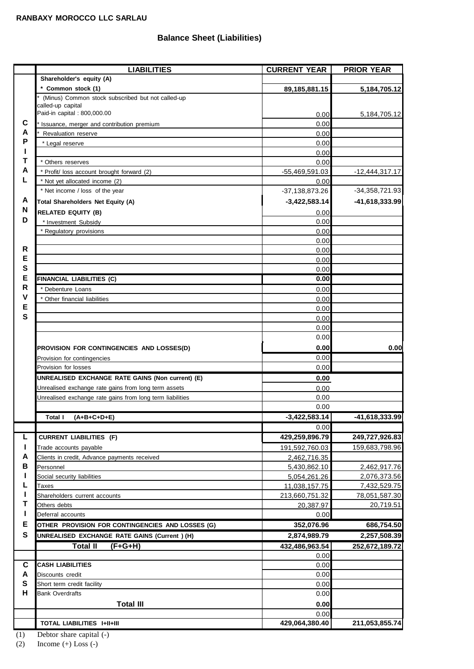# **Balance Sheet (Liabilities)**

|     | <b>LIABILITIES</b>                                        | <b>CURRENT YEAR</b> | <b>PRIOR YEAR</b> |
|-----|-----------------------------------------------------------|---------------------|-------------------|
|     | Shareholder's equity (A)                                  |                     |                   |
|     | * Common stock (1)                                        | 89,185,881.15       | 5,184,705.12      |
|     | (Minus) Common stock subscribed but not called-up         |                     |                   |
|     | called-up capital                                         |                     |                   |
|     | Paid-in capital: 800,000.00                               | 0.00                | 5,184,705.12      |
| С   | Issuance, merger and contribution premium                 | 0.00                |                   |
| А   | Revaluation reserve                                       | 0.00                |                   |
| Р   | * Legal reserve                                           | 0.00                |                   |
|     |                                                           | 0.00                |                   |
| т   | Others reserves                                           | 0.00                |                   |
| А   | * Profit/ loss account brought forward (2)                | $-55,469,591.03$    | $-12,444,317.17$  |
| L   | * Not yet allocated income (2)                            | 0.00                |                   |
|     | * Net income / loss of the year                           | $-37,138,873.26$    | $-34,358,721.93$  |
| A   | <b>Total Shareholders Net Equity (A)</b>                  | $-3,422,583.14$     | -41,618,333.99    |
| N   | <b>RELATED EQUITY (B)</b>                                 | 0.00                |                   |
| D   | * Investment Subsidy                                      | 0.00                |                   |
|     | Regulatory provisions                                     | 0.00                |                   |
|     |                                                           | 0.00                |                   |
| R   |                                                           | 0.00                |                   |
| E   |                                                           | 0.00                |                   |
| S   |                                                           | 0.00                |                   |
| E   | FINANCIAL LIABILITIES (C)                                 | 0.00                |                   |
| R   |                                                           |                     |                   |
| ٧   | Debenture Loans                                           | 0.00                |                   |
| E   | Other financial liabilities                               | 0.00                |                   |
| S   |                                                           | 0.00                |                   |
|     |                                                           | 0.00                |                   |
|     |                                                           | 0.00                |                   |
|     |                                                           | 0.00                |                   |
|     | PROVISION FOR CONTINGENCIES AND LOSSES(D)                 | 0.00                | 0.00              |
|     | Provision for contingencies                               | 0.00                |                   |
|     | Provision for losses                                      | 0.00                |                   |
|     | UNREALISED EXCHANGE RATE GAINS (Non current) (E)          | 0.00                |                   |
|     | Unrealised exchange rate gains from long term assets      | 0.00                |                   |
|     | Unrealised exchange rate gains from long term liabilities | 0.00                |                   |
|     |                                                           | 0.00                |                   |
|     | Total I<br>$(A+B+C+D+E)$                                  | $-3,422,583.14$     | $-41.618.333.99$  |
|     |                                                           | 0.00                |                   |
| L   | <b>CURRENT LIABILITIES (F)</b>                            | 429,259,896.79      | 249,727,926.83    |
| н   | Trade accounts payable                                    | 191,592,760.03      | 159,683,798.96    |
| Α   | Clients in credit, Advance payments received              | 2,462,716.35        |                   |
| В   | Personnel                                                 | 5,430,862.10        | 2,462,917.76      |
|     | Social security liabilities                               | 5,054,261.26        | 2,076,373.56      |
|     | Taxes                                                     | 11,038,157.75       | 7,432,529.75      |
|     | Shareholders current accounts                             | 213,660,751.32      | 78,051,587.30     |
| л   | Others debts                                              | 20,387.97           | 20,719.51         |
|     | Deferral accounts                                         |                     |                   |
| Е   |                                                           | 0.00                |                   |
|     | OTHER PROVISION FOR CONTINGENCIES AND LOSSES (G)          | 352,076.96          | 686,754.50        |
| S   | UNREALISED EXCHANGE RATE GAINS (Current ) (H)             | 2,874,989.79        | 2,257,508.39      |
|     | <b>Total II</b><br>(F+G+H)                                | 432,486,963.54      | 252,672,189.72    |
|     |                                                           | 0.00                |                   |
| C   | <b>CASH LIABILITIES</b>                                   | 0.00                |                   |
| A   | Discounts credit                                          | 0.00                |                   |
| S   | Short term credit facility                                | 0.00                |                   |
| н   | <b>Bank Overdrafts</b>                                    | 0.00                |                   |
|     | <b>Total III</b>                                          | 0.00                |                   |
|     |                                                           | 0.00                |                   |
|     | <b>TOTAL LIABILITIES I+II+III</b>                         | 429,064,380.40      | 211,053,855.74    |
| (1) | Debtor share capital (-)                                  |                     |                   |

(2) Income  $(+)$  Loss  $(-)$